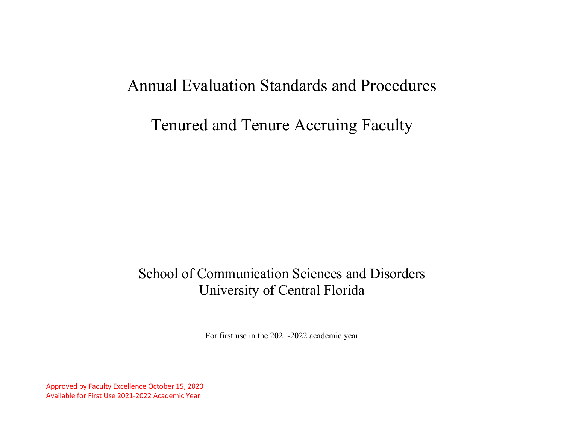# Annual Evaluation Standards and Procedures

# Tenured and Tenure Accruing Faculty

## School of Communication Sciences and Disorders University of Central Florida

For first use in the 2021-2022 academic year

Approved by Faculty Excellence October 15, 2020 Available for First Use 2021-2022 Academic Year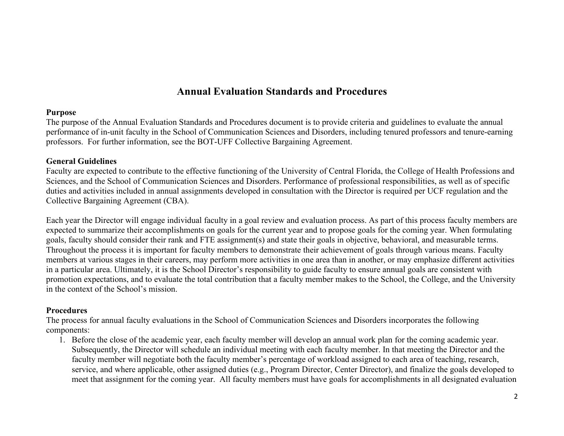## **Annual Evaluation Standards and Procedures**

## **Purpose**

The purpose of the Annual Evaluation Standards and Procedures document is to provide criteria and guidelines to evaluate the annual performance of in-unit faculty in the School of Communication Sciences and Disorders, including tenured professors and tenure-earning professors. For further information, see the BOT-UFF Collective Bargaining Agreement.

## **General Guidelines**

Faculty are expected to contribute to the effective functioning of the University of Central Florida, the College of Health Professions and Sciences, and the School of Communication Sciences and Disorders. Performance of professional responsibilities, as well as of specific duties and activities included in annual assignments developed in consultation with the Director is required per UCF regulation and the Collective Bargaining Agreement (CBA).

Each year the Director will engage individual faculty in a goal review and evaluation process. As part of this process faculty members are expected to summarize their accomplishments on goals for the current year and to propose goals for the coming year. When formulating goals, faculty should consider their rank and FTE assignment(s) and state their goals in objective, behavioral, and measurable terms. Throughout the process it is important for faculty members to demonstrate their achievement of goals through various means. Faculty members at various stages in their careers, may perform more activities in one area than in another, or may emphasize different activities in a particular area. Ultimately, it is the School Director's responsibility to guide faculty to ensure annual goals are consistent with promotion expectations, and to evaluate the total contribution that a faculty member makes to the School, the College, and the University in the context of the School's mission.

## **Procedures**

The process for annual faculty evaluations in the School of Communication Sciences and Disorders incorporates the following components:

1. Before the close of the academic year, each faculty member will develop an annual work plan for the coming academic year. Subsequently, the Director will schedule an individual meeting with each faculty member. In that meeting the Director and the faculty member will negotiate both the faculty member's percentage of workload assigned to each area of teaching, research, service, and where applicable, other assigned duties (e.g., Program Director, Center Director), and finalize the goals developed to meet that assignment for the coming year. All faculty members must have goals for accomplishments in all designated evaluation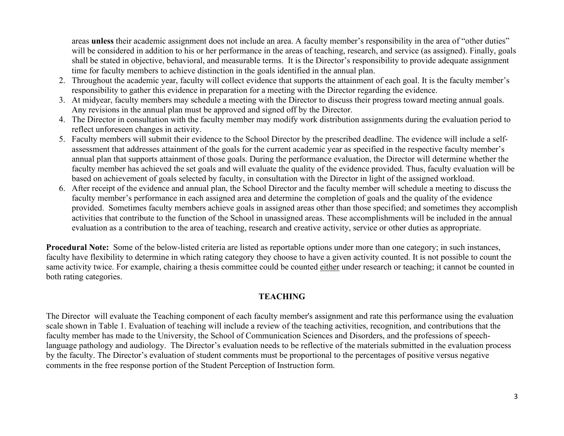areas **unless** their academic assignment does not include an area. A faculty member's responsibility in the area of "other duties" will be considered in addition to his or her performance in the areas of teaching, research, and service (as assigned). Finally, goals shall be stated in objective, behavioral, and measurable terms. It is the Director's responsibility to provide adequate assignment time for faculty members to achieve distinction in the goals identified in the annual plan.

- 2. Throughout the academic year, faculty will collect evidence that supports the attainment of each goal. It is the faculty member's responsibility to gather this evidence in preparation for a meeting with the Director regarding the evidence.
- 3. At midyear, faculty members may schedule a meeting with the Director to discuss their progress toward meeting annual goals. Any revisions in the annual plan must be approved and signed off by the Director.
- 4. The Director in consultation with the faculty member may modify work distribution assignments during the evaluation period to reflect unforeseen changes in activity.
- 5. Faculty members will submit their evidence to the School Director by the prescribed deadline. The evidence will include a selfassessment that addresses attainment of the goals for the current academic year as specified in the respective faculty member's annual plan that supports attainment of those goals. During the performance evaluation, the Director will determine whether the faculty member has achieved the set goals and will evaluate the quality of the evidence provided. Thus, faculty evaluation will be based on achievement of goals selected by faculty, in consultation with the Director in light of the assigned workload.
- 6. After receipt of the evidence and annual plan, the School Director and the faculty member will schedule a meeting to discuss the faculty member's performance in each assigned area and determine the completion of goals and the quality of the evidence provided. Sometimes faculty members achieve goals in assigned areas other than those specified; and sometimes they accomplish activities that contribute to the function of the School in unassigned areas. These accomplishments will be included in the annual evaluation as a contribution to the area of teaching, research and creative activity, service or other duties as appropriate.

**Procedural Note:** Some of the below-listed criteria are listed as reportable options under more than one category; in such instances, faculty have flexibility to determine in which rating category they choose to have a given activity counted. It is not possible to count the same activity twice. For example, chairing a thesis committee could be counted either under research or teaching; it cannot be counted in both rating categories.

## **TEACHING**

The Director will evaluate the Teaching component of each faculty member's assignment and rate this performance using the evaluation scale shown in Table 1. Evaluation of teaching will include a review of the teaching activities, recognition, and contributions that the faculty member has made to the University, the School of Communication Sciences and Disorders, and the professions of speechlanguage pathology and audiology. The Director's evaluation needs to be reflective of the materials submitted in the evaluation process by the faculty. The Director's evaluation of student comments must be proportional to the percentages of positive versus negative comments in the free response portion of the Student Perception of Instruction form.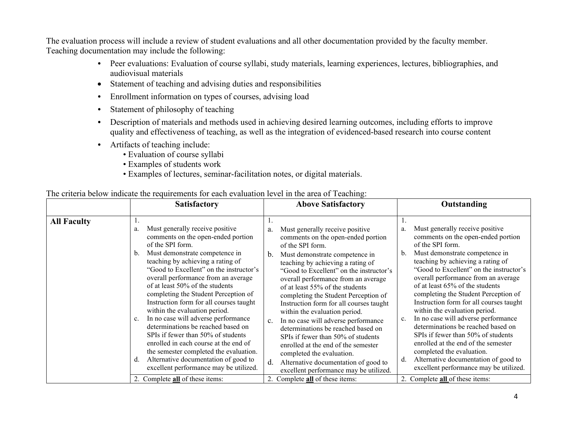The evaluation process will include a review of student evaluations and all other documentation provided by the faculty member. Teaching documentation may include the following:

- Peer evaluations: Evaluation of course syllabi, study materials, learning experiences, lectures, bibliographies, and audiovisual materials
- Statement of teaching and advising duties and responsibilities
- Enrollment information on types of courses, advising load
- Statement of philosophy of teaching
- Description of materials and methods used in achieving desired learning outcomes, including efforts to improve quality and effectiveness of teaching, as well as the integration of evidenced-based research into course content
- Artifacts of teaching include:
	- Evaluation of course syllabi
	- Examples of students work
	- Examples of lectures, seminar-facilitation notes, or digital materials.

| The criteria below indicate the requirements for each evaluation level in the area of Teaching: |  |  |
|-------------------------------------------------------------------------------------------------|--|--|
|                                                                                                 |  |  |

|                    | Satisfactory                                                                                                                                                                                                                                                                                                                                                                                                                                                                                                                                                                                                                                                                                                                                                                | <b>Above Satisfactory</b>                                                                                                                                                                                                                                                                                                                                                                                                                                                                                                                                                                                                                                                                                                                     | Outstanding                                                                                                                                                                                                                                                                                                                                                                                                                                                                                                                                                                                                                                                                                                                             |  |
|--------------------|-----------------------------------------------------------------------------------------------------------------------------------------------------------------------------------------------------------------------------------------------------------------------------------------------------------------------------------------------------------------------------------------------------------------------------------------------------------------------------------------------------------------------------------------------------------------------------------------------------------------------------------------------------------------------------------------------------------------------------------------------------------------------------|-----------------------------------------------------------------------------------------------------------------------------------------------------------------------------------------------------------------------------------------------------------------------------------------------------------------------------------------------------------------------------------------------------------------------------------------------------------------------------------------------------------------------------------------------------------------------------------------------------------------------------------------------------------------------------------------------------------------------------------------------|-----------------------------------------------------------------------------------------------------------------------------------------------------------------------------------------------------------------------------------------------------------------------------------------------------------------------------------------------------------------------------------------------------------------------------------------------------------------------------------------------------------------------------------------------------------------------------------------------------------------------------------------------------------------------------------------------------------------------------------------|--|
| <b>All Faculty</b> | 1.<br>Must generally receive positive<br>a.<br>comments on the open-ended portion<br>of the SPI form.<br>Must demonstrate competence in<br>b.<br>teaching by achieving a rating of<br>"Good to Excellent" on the instructor's<br>overall performance from an average<br>of at least 50% of the students<br>completing the Student Perception of<br>Instruction form for all courses taught<br>within the evaluation period.<br>In no case will adverse performance<br>$c_{\cdot}$<br>determinations be reached based on<br>SPIs if fewer than 50% of students<br>enrolled in each course at the end of<br>the semester completed the evaluation.<br>Alternative documentation of good to<br>d.<br>excellent performance may be utilized.<br>2. Complete all of these items: | Must generally receive positive<br>a.<br>comments on the open-ended portion<br>of the SPI form.<br>b.<br>Must demonstrate competence in<br>teaching by achieving a rating of<br>"Good to Excellent" on the instructor's<br>overall performance from an average<br>of at least 55% of the students<br>completing the Student Perception of<br>Instruction form for all courses taught<br>within the evaluation period.<br>In no case will adverse performance<br>c.<br>determinations be reached based on<br>SPIs if fewer than 50% of students<br>enrolled at the end of the semester<br>completed the evaluation.<br>d.<br>Alternative documentation of good to<br>excellent performance may be utilized.<br>2. Complete all of these items: | Must generally receive positive<br>a.<br>comments on the open-ended portion<br>of the SPI form.<br>Must demonstrate competence in<br>b.<br>teaching by achieving a rating of<br>"Good to Excellent" on the instructor's<br>overall performance from an average<br>of at least 65% of the students<br>completing the Student Perception of<br>Instruction form for all courses taught<br>within the evaluation period.<br>In no case will adverse performance<br>determinations be reached based on<br>SPIs if fewer than 50% of students<br>enrolled at the end of the semester<br>completed the evaluation.<br>Alternative documentation of good to<br>d.<br>excellent performance may be utilized.<br>2. Complete all of these items: |  |
|                    |                                                                                                                                                                                                                                                                                                                                                                                                                                                                                                                                                                                                                                                                                                                                                                             |                                                                                                                                                                                                                                                                                                                                                                                                                                                                                                                                                                                                                                                                                                                                               |                                                                                                                                                                                                                                                                                                                                                                                                                                                                                                                                                                                                                                                                                                                                         |  |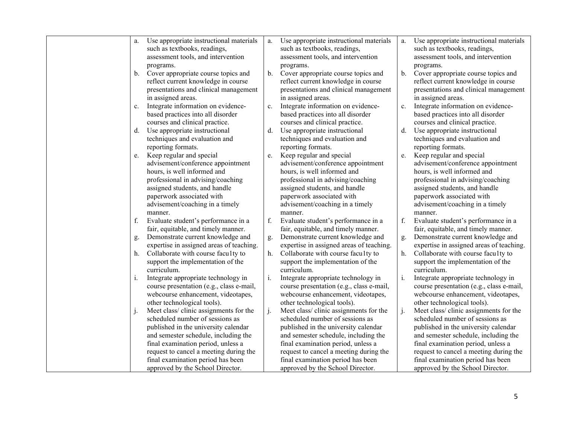| a.      | Use appropriate instructional materials                                        | a.    | Use appropriate instructional materials                                        | a.             | Use appropriate instructional materials                                       |
|---------|--------------------------------------------------------------------------------|-------|--------------------------------------------------------------------------------|----------------|-------------------------------------------------------------------------------|
|         | such as textbooks, readings,                                                   |       | such as textbooks, readings,                                                   |                | such as textbooks, readings,                                                  |
|         | assessment tools, and intervention                                             |       | assessment tools, and intervention                                             |                | assessment tools, and intervention                                            |
|         | programs.                                                                      |       | programs.                                                                      |                | programs.                                                                     |
| b.      | Cover appropriate course topics and                                            | b.    | Cover appropriate course topics and                                            | $\mathbf{b}$ . | Cover appropriate course topics and                                           |
|         | reflect current knowledge in course                                            |       | reflect current knowledge in course                                            |                | reflect current knowledge in course                                           |
|         | presentations and clinical management                                          |       | presentations and clinical management                                          |                | presentations and clinical management                                         |
|         | in assigned areas.                                                             |       | in assigned areas.                                                             |                | in assigned areas.                                                            |
| c.      | Integrate information on evidence-                                             | c.    | Integrate information on evidence-                                             | c.             | Integrate information on evidence-                                            |
|         | based practices into all disorder                                              |       | based practices into all disorder                                              |                | based practices into all disorder                                             |
|         | courses and clinical practice.                                                 |       | courses and clinical practice.                                                 |                | courses and clinical practice.                                                |
| d.      | Use appropriate instructional                                                  | d.    | Use appropriate instructional                                                  | d.             | Use appropriate instructional                                                 |
|         | techniques and evaluation and                                                  |       | techniques and evaluation and                                                  |                | techniques and evaluation and                                                 |
|         | reporting formats.                                                             |       | reporting formats.                                                             |                | reporting formats.                                                            |
| e.      | Keep regular and special                                                       | e.    | Keep regular and special                                                       | e.             | Keep regular and special                                                      |
|         | advisement/conference appointment                                              |       | advisement/conference appointment                                              |                | advisement/conference appointment                                             |
|         | hours, is well informed and                                                    |       | hours, is well informed and                                                    |                | hours, is well informed and                                                   |
|         | professional in advising/coaching                                              |       | professional in advising/coaching                                              |                | professional in advising/coaching                                             |
|         | assigned students, and handle                                                  |       | assigned students, and handle                                                  |                | assigned students, and handle                                                 |
|         | paperwork associated with                                                      |       | paperwork associated with                                                      |                | paperwork associated with                                                     |
|         | advisement/coaching in a timely                                                |       | advisement/coaching in a timely                                                |                | advisement/coaching in a timely                                               |
|         | manner.                                                                        |       | manner.                                                                        | f.             | manner.                                                                       |
| f.      | Evaluate student's performance in a                                            | f.    | Evaluate student's performance in a                                            |                | Evaluate student's performance in a                                           |
|         | fair, equitable, and timely manner.                                            |       | fair, equitable, and timely manner.                                            |                | fair, equitable, and timely manner.                                           |
| g.      | Demonstrate current knowledge and                                              | g.    | Demonstrate current knowledge and                                              | g.             | Demonstrate current knowledge and<br>expertise in assigned areas of teaching. |
| h.      | expertise in assigned areas of teaching.<br>Collaborate with course faculty to | h.    | expertise in assigned areas of teaching.<br>Collaborate with course faculty to | h.             | Collaborate with course faculty to                                            |
|         | support the implementation of the                                              |       | support the implementation of the                                              |                | support the implementation of the                                             |
|         | curriculum.                                                                    |       | curriculum.                                                                    |                | curriculum.                                                                   |
| i.      | Integrate appropriate technology in                                            | i.    | Integrate appropriate technology in                                            | $\mathbf{i}$ . | Integrate appropriate technology in                                           |
|         | course presentation (e.g., class e-mail,                                       |       | course presentation (e.g., class e-mail,                                       |                | course presentation (e.g., class e-mail,                                      |
|         | webcourse enhancement, videotapes,                                             |       | webcourse enhancement, videotapes,                                             |                | webcourse enhancement, videotapes,                                            |
|         | other technological tools).                                                    |       | other technological tools).                                                    |                | other technological tools).                                                   |
| $\cdot$ | Meet class/clinic assignments for the                                          | $j$ . | Meet class/clinic assignments for the                                          | j.             | Meet class/clinic assignments for the                                         |
|         | scheduled number of sessions as                                                |       | scheduled number of sessions as                                                |                | scheduled number of sessions as                                               |
|         | published in the university calendar                                           |       | published in the university calendar                                           |                | published in the university calendar                                          |
|         | and semester schedule, including the                                           |       | and semester schedule, including the                                           |                | and semester schedule, including the                                          |
|         | final examination period, unless a                                             |       | final examination period, unless a                                             |                | final examination period, unless a                                            |
|         | request to cancel a meeting during the                                         |       | request to cancel a meeting during the                                         |                | request to cancel a meeting during the                                        |
|         | final examination period has been                                              |       | final examination period has been                                              |                | final examination period has been                                             |
|         | approved by the School Director.                                               |       | approved by the School Director.                                               |                | approved by the School Director.                                              |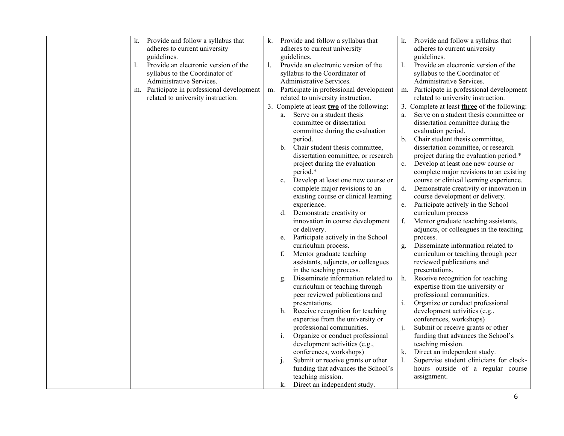| k. | Provide and follow a syllabus that      | k. |    | Provide and follow a syllabus that               | k. | Provide and follow a syllabus that                                |
|----|-----------------------------------------|----|----|--------------------------------------------------|----|-------------------------------------------------------------------|
|    | adheres to current university           |    |    | adheres to current university                    |    | adheres to current university                                     |
|    | guidelines.                             |    |    | guidelines.                                      |    | guidelines.                                                       |
| 1. | Provide an electronic version of the    | 1. |    | Provide an electronic version of the             | 1. | Provide an electronic version of the                              |
|    | syllabus to the Coordinator of          |    |    | syllabus to the Coordinator of                   |    | syllabus to the Coordinator of                                    |
|    | Administrative Services.                |    |    | Administrative Services.                         |    | Administrative Services.                                          |
| m. | Participate in professional development |    |    | m. Participate in professional development       | m. | Participate in professional development                           |
|    | related to university instruction.      |    |    | related to university instruction.               |    | related to university instruction.                                |
|    |                                         |    |    | 3. Complete at least $two$ of the following:     |    | 3. Complete at least <b>three</b> of the following:               |
|    |                                         |    | a. | Serve on a student thesis                        | a. | Serve on a student thesis committee or                            |
|    |                                         |    |    | committee or dissertation                        |    | dissertation committee during the                                 |
|    |                                         |    |    | committee during the evaluation                  |    | evaluation period.                                                |
|    |                                         |    |    | period.                                          | b. | Chair student thesis committee,                                   |
|    |                                         |    | b. | Chair student thesis committee,                  |    | dissertation committee, or research                               |
|    |                                         |    |    | dissertation committee, or research              |    | project during the evaluation period.*                            |
|    |                                         |    |    | project during the evaluation                    | c. | Develop at least one new course or                                |
|    |                                         |    |    | period.*                                         |    | complete major revisions to an existing                           |
|    |                                         |    | c. | Develop at least one new course or               |    | course or clinical learning experience.                           |
|    |                                         |    |    | complete major revisions to an                   | d. | Demonstrate creativity or innovation in                           |
|    |                                         |    |    | existing course or clinical learning             |    | course development or delivery.                                   |
|    |                                         |    |    | experience.                                      | e. | Participate actively in the School                                |
|    |                                         |    | d. | Demonstrate creativity or                        |    | curriculum process                                                |
|    |                                         |    |    | innovation in course development                 | f. | Mentor graduate teaching assistants,                              |
|    |                                         |    |    | or delivery.                                     |    | adjuncts, or colleagues in the teaching                           |
|    |                                         |    | e. | Participate actively in the School               |    | process.                                                          |
|    |                                         |    |    | curriculum process.                              | g. | Disseminate information related to                                |
|    |                                         |    | f. | Mentor graduate teaching                         |    | curriculum or teaching through peer                               |
|    |                                         |    |    | assistants, adjuncts, or colleagues              |    | reviewed publications and                                         |
|    |                                         |    |    | in the teaching process.                         |    | presentations.                                                    |
|    |                                         |    | g. | Disseminate information related to               | h. | Receive recognition for teaching                                  |
|    |                                         |    |    | curriculum or teaching through                   |    | expertise from the university or                                  |
|    |                                         |    |    | peer reviewed publications and<br>presentations. |    | professional communities.                                         |
|    |                                         |    | h. | Receive recognition for teaching                 | i. | Organize or conduct professional<br>development activities (e.g., |
|    |                                         |    |    | expertise from the university or                 |    | conferences, workshops)                                           |
|    |                                         |    |    | professional communities.                        | j. | Submit or receive grants or other                                 |
|    |                                         |    | i. | Organize or conduct professional                 |    | funding that advances the School's                                |
|    |                                         |    |    | development activities (e.g.,                    |    | teaching mission.                                                 |
|    |                                         |    |    | conferences, workshops)                          | k. | Direct an independent study.                                      |
|    |                                         |    | j. | Submit or receive grants or other                | 1. | Supervise student clinicians for clock-                           |
|    |                                         |    |    | funding that advances the School's               |    | hours outside of a regular course                                 |
|    |                                         |    |    | teaching mission.                                |    | assignment.                                                       |
|    |                                         |    |    | k. Direct an independent study.                  |    |                                                                   |
|    |                                         |    |    |                                                  |    |                                                                   |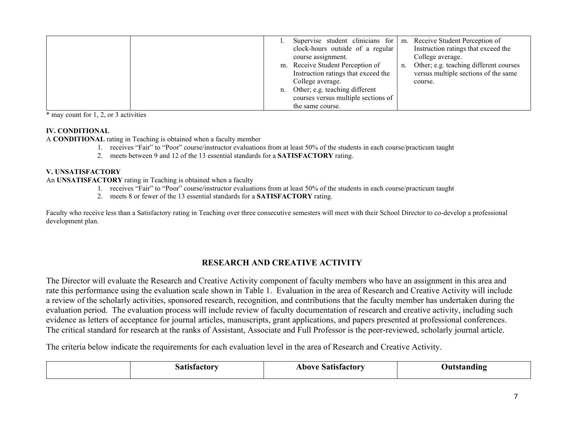|    | Supervise student clinicians for    |    | m. Receive Student Perception of       |
|----|-------------------------------------|----|----------------------------------------|
|    | clock-hours outside of a regular    |    | Instruction ratings that exceed the    |
|    | course assignment.                  |    | College average.                       |
|    | m. Receive Student Perception of    | n. | Other; e.g. teaching different courses |
|    | Instruction ratings that exceed the |    | versus multiple sections of the same   |
|    | College average.                    |    | course.                                |
| n. | Other; e.g. teaching different      |    |                                        |
|    | courses versus multiple sections of |    |                                        |
|    | the same course.                    |    |                                        |

\* may count for 1, 2, or 3 activities

### **IV. CONDITIONAL**

A **CONDITIONAL** rating in Teaching is obtained when a faculty member

- 1. receives "Fair" to "Poor" course/instructor evaluations from at least 50% of the students in each course/practicum taught
- 2. meets between 9 and 12 of the 13 essential standards for a **SATISFACTORY** rating.

### **V. UNSATISFACTORY**

An **UNSATISFACTORY** rating in Teaching is obtained when a faculty

- 1. receives "Fair" to "Poor" course/instructor evaluations from at least 50% of the students in each course/practicum taught
- 2. meets 8 or fewer of the 13 essential standards for a **SATISFACTORY** rating.

Faculty who receive less than a Satisfactory rating in Teaching over three consecutive semesters will meet with their School Director to co-develop a professional development plan.

## **RESEARCH AND CREATIVE ACTIVITY**

The Director will evaluate the Research and Creative Activity component of faculty members who have an assignment in this area and rate this performance using the evaluation scale shown in Table 1. Evaluation in the area of Research and Creative Activity will include a review of the scholarly activities, sponsored research, recognition, and contributions that the faculty member has undertaken during the evaluation period. The evaluation process will include review of faculty documentation of research and creative activity, including such evidence as letters of acceptance for journal articles, manuscripts, grant applications, and papers presented at professional conferences. The critical standard for research at the ranks of Assistant, Associate and Full Professor is the peer-reviewed, scholarly journal article.

The criteria below indicate the requirements for each evaluation level in the area of Research and Creative Activity.

| ∴a±∎a‡a | Above Satisfactory | dıno |
|---------|--------------------|------|
|         |                    |      |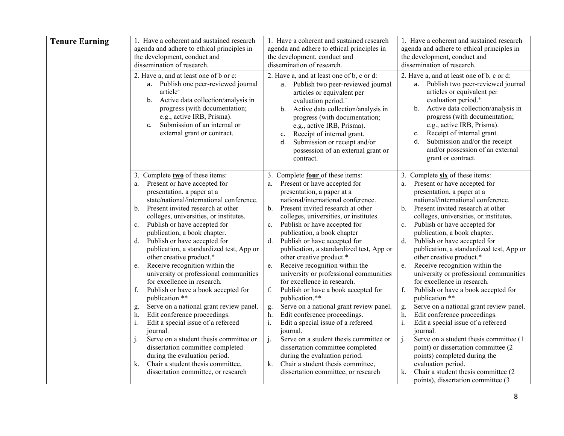| <b>Tenure Earning</b> | 1. Have a coherent and sustained research<br>agenda and adhere to ethical principles in<br>the development, conduct and<br>dissemination of research.<br>2. Have a, and at least one of b or c:<br>a. Publish one peer-reviewed journal<br>article <sup>+</sup><br>Active data collection/analysis in<br>b.<br>progress (with documentation;<br>e.g., active IRB, Prisma).<br>Submission of an internal or<br>c.<br>external grant or contract. | 1. Have a coherent and sustained research<br>agenda and adhere to ethical principles in<br>the development, conduct and<br>dissemination of research.<br>2. Have a, and at least one of b, c or d:<br>a. Publish two peer-reviewed journal<br>articles or equivalent per<br>evaluation period. <sup>+</sup><br>Active data collection/analysis in<br>b.<br>progress (with documentation;<br>e.g., active IRB, Prisma).<br>Receipt of internal grant.<br>c.<br>Submission or receipt and/or<br>d.<br>possession of an external grant or<br>contract. | 1. Have a coherent and sustained research<br>agenda and adhere to ethical principles in<br>the development, conduct and<br>dissemination of research.<br>2. Have a, and at least one of b, c or d:<br>Publish two peer-reviewed journal<br>а.<br>articles or equivalent per<br>evaluation period. <sup>+</sup><br>Active data collection/analysis in<br>b.<br>progress (with documentation;<br>e.g., active IRB, Prisma).<br>Receipt of internal grant.<br>c.<br>d.<br>Submission and/or the receipt<br>and/or possession of an external<br>grant or contract. |
|-----------------------|-------------------------------------------------------------------------------------------------------------------------------------------------------------------------------------------------------------------------------------------------------------------------------------------------------------------------------------------------------------------------------------------------------------------------------------------------|-----------------------------------------------------------------------------------------------------------------------------------------------------------------------------------------------------------------------------------------------------------------------------------------------------------------------------------------------------------------------------------------------------------------------------------------------------------------------------------------------------------------------------------------------------|----------------------------------------------------------------------------------------------------------------------------------------------------------------------------------------------------------------------------------------------------------------------------------------------------------------------------------------------------------------------------------------------------------------------------------------------------------------------------------------------------------------------------------------------------------------|
|                       | 3. Complete two of these items:                                                                                                                                                                                                                                                                                                                                                                                                                 | 3. Complete four of these items:                                                                                                                                                                                                                                                                                                                                                                                                                                                                                                                    | 3. Complete six of these items:                                                                                                                                                                                                                                                                                                                                                                                                                                                                                                                                |
|                       | Present or have accepted for                                                                                                                                                                                                                                                                                                                                                                                                                    | Present or have accepted for                                                                                                                                                                                                                                                                                                                                                                                                                                                                                                                        | Present or have accepted for                                                                                                                                                                                                                                                                                                                                                                                                                                                                                                                                   |
|                       | a.                                                                                                                                                                                                                                                                                                                                                                                                                                              | a.                                                                                                                                                                                                                                                                                                                                                                                                                                                                                                                                                  | a.                                                                                                                                                                                                                                                                                                                                                                                                                                                                                                                                                             |
|                       | presentation, a paper at a                                                                                                                                                                                                                                                                                                                                                                                                                      | presentation, a paper at a                                                                                                                                                                                                                                                                                                                                                                                                                                                                                                                          | presentation, a paper at a                                                                                                                                                                                                                                                                                                                                                                                                                                                                                                                                     |
|                       | state/national/international conference.                                                                                                                                                                                                                                                                                                                                                                                                        | national/international conference.                                                                                                                                                                                                                                                                                                                                                                                                                                                                                                                  | national/international conference.                                                                                                                                                                                                                                                                                                                                                                                                                                                                                                                             |
|                       | Present invited research at other                                                                                                                                                                                                                                                                                                                                                                                                               | Present invited research at other                                                                                                                                                                                                                                                                                                                                                                                                                                                                                                                   | Present invited research at other                                                                                                                                                                                                                                                                                                                                                                                                                                                                                                                              |
|                       | $\mathbf{b}$ .                                                                                                                                                                                                                                                                                                                                                                                                                                  | $\mathbf{b}$ .                                                                                                                                                                                                                                                                                                                                                                                                                                                                                                                                      | b.                                                                                                                                                                                                                                                                                                                                                                                                                                                                                                                                                             |
|                       | colleges, universities, or institutes.                                                                                                                                                                                                                                                                                                                                                                                                          | colleges, universities, or institutes.                                                                                                                                                                                                                                                                                                                                                                                                                                                                                                              | colleges, universities, or institutes.                                                                                                                                                                                                                                                                                                                                                                                                                                                                                                                         |
|                       | Publish or have accepted for                                                                                                                                                                                                                                                                                                                                                                                                                    | Publish or have accepted for                                                                                                                                                                                                                                                                                                                                                                                                                                                                                                                        | Publish or have accepted for                                                                                                                                                                                                                                                                                                                                                                                                                                                                                                                                   |
|                       | c.                                                                                                                                                                                                                                                                                                                                                                                                                                              | c.                                                                                                                                                                                                                                                                                                                                                                                                                                                                                                                                                  | $c_{\cdot}$                                                                                                                                                                                                                                                                                                                                                                                                                                                                                                                                                    |
|                       | publication, a book chapter.                                                                                                                                                                                                                                                                                                                                                                                                                    | publication, a book chapter                                                                                                                                                                                                                                                                                                                                                                                                                                                                                                                         | publication, a book chapter.                                                                                                                                                                                                                                                                                                                                                                                                                                                                                                                                   |
|                       | Publish or have accepted for                                                                                                                                                                                                                                                                                                                                                                                                                    | Publish or have accepted for                                                                                                                                                                                                                                                                                                                                                                                                                                                                                                                        | d. Publish or have accepted for                                                                                                                                                                                                                                                                                                                                                                                                                                                                                                                                |
|                       | d.                                                                                                                                                                                                                                                                                                                                                                                                                                              | d.                                                                                                                                                                                                                                                                                                                                                                                                                                                                                                                                                  | publication, a standardized test, App or                                                                                                                                                                                                                                                                                                                                                                                                                                                                                                                       |
|                       | publication, a standardized test, App or                                                                                                                                                                                                                                                                                                                                                                                                        | publication, a standardized test, App or                                                                                                                                                                                                                                                                                                                                                                                                                                                                                                            | other creative product.*                                                                                                                                                                                                                                                                                                                                                                                                                                                                                                                                       |
|                       | other creative product.*                                                                                                                                                                                                                                                                                                                                                                                                                        | other creative product.*                                                                                                                                                                                                                                                                                                                                                                                                                                                                                                                            | Receive recognition within the                                                                                                                                                                                                                                                                                                                                                                                                                                                                                                                                 |
|                       | Receive recognition within the                                                                                                                                                                                                                                                                                                                                                                                                                  | Receive recognition within the                                                                                                                                                                                                                                                                                                                                                                                                                                                                                                                      | e.                                                                                                                                                                                                                                                                                                                                                                                                                                                                                                                                                             |
|                       | e.                                                                                                                                                                                                                                                                                                                                                                                                                                              | e.                                                                                                                                                                                                                                                                                                                                                                                                                                                                                                                                                  | university or professional communities                                                                                                                                                                                                                                                                                                                                                                                                                                                                                                                         |
|                       | university or professional communities                                                                                                                                                                                                                                                                                                                                                                                                          | university or professional communities                                                                                                                                                                                                                                                                                                                                                                                                                                                                                                              | for excellence in research.                                                                                                                                                                                                                                                                                                                                                                                                                                                                                                                                    |
|                       | for excellence in research.                                                                                                                                                                                                                                                                                                                                                                                                                     | for excellence in research.                                                                                                                                                                                                                                                                                                                                                                                                                                                                                                                         | f.                                                                                                                                                                                                                                                                                                                                                                                                                                                                                                                                                             |
|                       | f.                                                                                                                                                                                                                                                                                                                                                                                                                                              | f.                                                                                                                                                                                                                                                                                                                                                                                                                                                                                                                                                  | Publish or have a book accepted for                                                                                                                                                                                                                                                                                                                                                                                                                                                                                                                            |
|                       | Publish or have a book accepted for                                                                                                                                                                                                                                                                                                                                                                                                             | Publish or have a book accepted for                                                                                                                                                                                                                                                                                                                                                                                                                                                                                                                 | publication.**                                                                                                                                                                                                                                                                                                                                                                                                                                                                                                                                                 |
|                       | publication.**                                                                                                                                                                                                                                                                                                                                                                                                                                  | publication.**                                                                                                                                                                                                                                                                                                                                                                                                                                                                                                                                      | Serve on a national grant review panel.                                                                                                                                                                                                                                                                                                                                                                                                                                                                                                                        |
|                       | Serve on a national grant review panel.                                                                                                                                                                                                                                                                                                                                                                                                         | Serve on a national grant review panel.                                                                                                                                                                                                                                                                                                                                                                                                                                                                                                             | g.                                                                                                                                                                                                                                                                                                                                                                                                                                                                                                                                                             |
|                       | g.                                                                                                                                                                                                                                                                                                                                                                                                                                              | g.                                                                                                                                                                                                                                                                                                                                                                                                                                                                                                                                                  | Edit conference proceedings.                                                                                                                                                                                                                                                                                                                                                                                                                                                                                                                                   |
|                       | Edit conference proceedings.                                                                                                                                                                                                                                                                                                                                                                                                                    | h.                                                                                                                                                                                                                                                                                                                                                                                                                                                                                                                                                  | h.                                                                                                                                                                                                                                                                                                                                                                                                                                                                                                                                                             |
|                       | h.                                                                                                                                                                                                                                                                                                                                                                                                                                              | Edit conference proceedings.                                                                                                                                                                                                                                                                                                                                                                                                                                                                                                                        | i.                                                                                                                                                                                                                                                                                                                                                                                                                                                                                                                                                             |
|                       | Edit a special issue of a refereed                                                                                                                                                                                                                                                                                                                                                                                                              | $\mathbf{i}$ .                                                                                                                                                                                                                                                                                                                                                                                                                                                                                                                                      | Edit a special issue of a refereed                                                                                                                                                                                                                                                                                                                                                                                                                                                                                                                             |
|                       | i.                                                                                                                                                                                                                                                                                                                                                                                                                                              | Edit a special issue of a refereed                                                                                                                                                                                                                                                                                                                                                                                                                                                                                                                  | journal.                                                                                                                                                                                                                                                                                                                                                                                                                                                                                                                                                       |
|                       | journal.                                                                                                                                                                                                                                                                                                                                                                                                                                        | journal.                                                                                                                                                                                                                                                                                                                                                                                                                                                                                                                                            | j.                                                                                                                                                                                                                                                                                                                                                                                                                                                                                                                                                             |
|                       | Serve on a student thesis committee or                                                                                                                                                                                                                                                                                                                                                                                                          | j.                                                                                                                                                                                                                                                                                                                                                                                                                                                                                                                                                  | Serve on a student thesis committee (1)                                                                                                                                                                                                                                                                                                                                                                                                                                                                                                                        |
|                       | $\mathbf{1}$                                                                                                                                                                                                                                                                                                                                                                                                                                    | Serve on a student thesis committee or                                                                                                                                                                                                                                                                                                                                                                                                                                                                                                              | point) or dissertation committee (2                                                                                                                                                                                                                                                                                                                                                                                                                                                                                                                            |
|                       | dissertation committee completed                                                                                                                                                                                                                                                                                                                                                                                                                | dissertation committee completed                                                                                                                                                                                                                                                                                                                                                                                                                                                                                                                    | points) completed during the                                                                                                                                                                                                                                                                                                                                                                                                                                                                                                                                   |
|                       | during the evaluation period.                                                                                                                                                                                                                                                                                                                                                                                                                   | during the evaluation period.                                                                                                                                                                                                                                                                                                                                                                                                                                                                                                                       | evaluation period.                                                                                                                                                                                                                                                                                                                                                                                                                                                                                                                                             |
|                       | Chair a student thesis committee,                                                                                                                                                                                                                                                                                                                                                                                                               | Chair a student thesis committee,                                                                                                                                                                                                                                                                                                                                                                                                                                                                                                                   | Chair a student thesis committee (2)                                                                                                                                                                                                                                                                                                                                                                                                                                                                                                                           |
|                       | k.                                                                                                                                                                                                                                                                                                                                                                                                                                              | k.                                                                                                                                                                                                                                                                                                                                                                                                                                                                                                                                                  | k.                                                                                                                                                                                                                                                                                                                                                                                                                                                                                                                                                             |
|                       | dissertation committee, or research                                                                                                                                                                                                                                                                                                                                                                                                             | dissertation committee, or research                                                                                                                                                                                                                                                                                                                                                                                                                                                                                                                 | points), dissertation committee (3                                                                                                                                                                                                                                                                                                                                                                                                                                                                                                                             |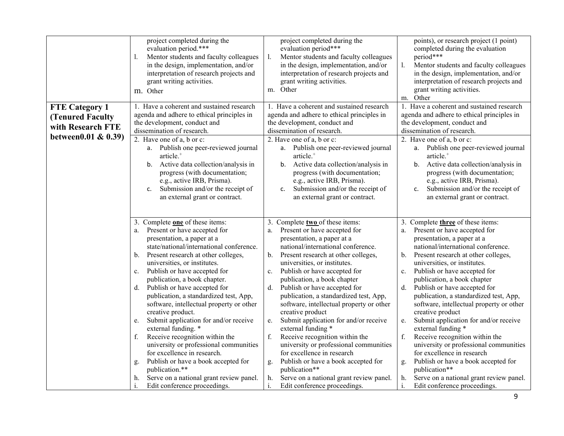|                                                                                               | project completed during the<br>evaluation period.***<br>Mentor students and faculty colleagues<br>l.<br>in the design, implementation, and/or<br>interpretation of research projects and<br>grant writing activities.<br>m. Other                                                                                                                                                                                                                                                                                                                                                                                                                                                                                                                                                                   | project completed during the<br>evaluation period***<br>Mentor students and faculty colleagues<br>1.<br>in the design, implementation, and/or<br>interpretation of research projects and<br>grant writing activities.<br>m. Other                                                                                                                                                                                                                                                                                                                                                                                                                                                                                                                                                                           | points), or research project (1 point)<br>completed during the evaluation<br>period***<br>Mentor students and faculty colleagues<br>in the design, implementation, and/or<br>interpretation of research projects and<br>grant writing activities.<br>m. Other                                                                                                                                                                                                                                                                                                                                                                                                                                                                                                                                       |
|-----------------------------------------------------------------------------------------------|------------------------------------------------------------------------------------------------------------------------------------------------------------------------------------------------------------------------------------------------------------------------------------------------------------------------------------------------------------------------------------------------------------------------------------------------------------------------------------------------------------------------------------------------------------------------------------------------------------------------------------------------------------------------------------------------------------------------------------------------------------------------------------------------------|-------------------------------------------------------------------------------------------------------------------------------------------------------------------------------------------------------------------------------------------------------------------------------------------------------------------------------------------------------------------------------------------------------------------------------------------------------------------------------------------------------------------------------------------------------------------------------------------------------------------------------------------------------------------------------------------------------------------------------------------------------------------------------------------------------------|-----------------------------------------------------------------------------------------------------------------------------------------------------------------------------------------------------------------------------------------------------------------------------------------------------------------------------------------------------------------------------------------------------------------------------------------------------------------------------------------------------------------------------------------------------------------------------------------------------------------------------------------------------------------------------------------------------------------------------------------------------------------------------------------------------|
| <b>FTE Category 1</b><br><b>(Tenured Faculty)</b><br>with Research FTE<br>between0.01 & 0.39) | 1. Have a coherent and sustained research<br>agenda and adhere to ethical principles in<br>the development, conduct and<br>dissemination of research.<br>2. Have one of a, b or c:<br>a. Publish one peer-reviewed journal<br>article. <sup>+</sup><br>Active data collection/analysis in<br>b.<br>progress (with documentation;<br>e.g., active IRB, Prisma).<br>Submission and/or the receipt of<br>c.<br>an external grant or contract.                                                                                                                                                                                                                                                                                                                                                           | 1. Have a coherent and sustained research<br>agenda and adhere to ethical principles in<br>the development, conduct and<br>dissemination of research.<br>2. Have one of a, b or c:<br>a. Publish one peer-reviewed journal<br>article. <sup>+</sup><br>Active data collection/analysis in<br>b.<br>progress (with documentation;<br>e.g., active IRB, Prisma).<br>Submission and/or the receipt of<br>c.<br>an external grant or contract.                                                                                                                                                                                                                                                                                                                                                                  | 1. Have a coherent and sustained research<br>agenda and adhere to ethical principles in<br>the development, conduct and<br>dissemination of research.<br>2. Have one of a, b or c:<br>a. Publish one peer-reviewed journal<br>article. <sup>+</sup><br>Active data collection/analysis in<br>b.<br>progress (with documentation;<br>e.g., active IRB, Prisma).<br>Submission and/or the receipt of<br>c.<br>an external grant or contract.                                                                                                                                                                                                                                                                                                                                                          |
|                                                                                               | 3. Complete <b>one</b> of these items:<br>Present or have accepted for<br>a.<br>presentation, a paper at a<br>state/national/international conference.<br>Present research at other colleges,<br>b.<br>universities, or institutes.<br>Publish or have accepted for<br>c.<br>publication, a book chapter.<br>d. Publish or have accepted for<br>publication, a standardized test, App,<br>software, intellectual property or other<br>creative product.<br>Submit application for and/or receive<br>e.<br>external funding. *<br>Receive recognition within the<br>f.<br>university or professional communities<br>for excellence in research.<br>Publish or have a book accepted for<br>g.<br>publication.**<br>Serve on a national grant review panel.<br>h.<br>i.<br>Edit conference proceedings. | 3. Complete two of these items:<br>Present or have accepted for<br>a.<br>presentation, a paper at a<br>national/international conference.<br>Present research at other colleges,<br>b.<br>universities, or institutes.<br>Publish or have accepted for<br>$\mathbf{c}.$<br>publication, a book chapter<br>d.<br>Publish or have accepted for<br>publication, a standardized test, App,<br>software, intellectual property or other<br>creative product<br>Submit application for and/or receive<br>e.<br>external funding *<br>f.<br>Receive recognition within the<br>university or professional communities<br>for excellence in research<br>Publish or have a book accepted for<br>g.<br>publication**<br>Serve on a national grant review panel.<br>h.<br>$\mathrm{i}.$<br>Edit conference proceedings. | 3. Complete three of these items:<br>Present or have accepted for<br>a.<br>presentation, a paper at a<br>national/international conference.<br>Present research at other colleges,<br>b.<br>universities, or institutes.<br>Publish or have accepted for<br>c.<br>publication, a book chapter<br>Publish or have accepted for<br>d.<br>publication, a standardized test, App,<br>software, intellectual property or other<br>creative product<br>Submit application for and/or receive<br>e.<br>external funding *<br>f.<br>Receive recognition within the<br>university or professional communities<br>for excellence in research<br>Publish or have a book accepted for<br>g.<br>publication**<br>Serve on a national grant review panel.<br>h.<br>$\mathbf{i}$ .<br>Edit conference proceedings. |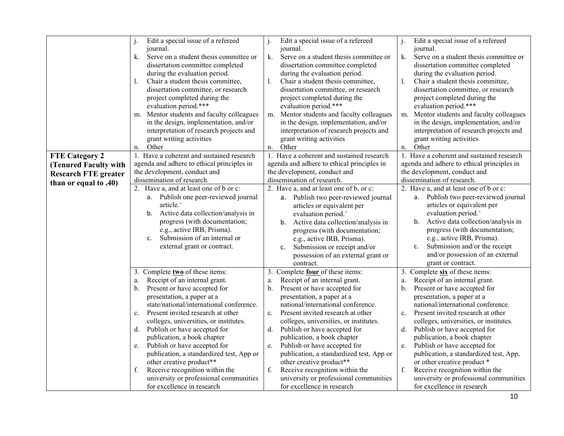|                             | Edit a special issue of a refereed<br>j.<br>journal.<br>Serve on a student thesis committee or<br>k.<br>dissertation committee completed<br>during the evaluation period.<br>Chair a student thesis committee,<br>1.<br>dissertation committee, or research<br>project completed during the<br>evaluation period.***<br>Mentor students and faculty colleagues<br>m. | Edit a special issue of a refereed<br>$\mathbf{i}$ .<br>journal.<br>k.<br>Serve on a student thesis committee or<br>dissertation committee completed<br>during the evaluation period.<br>Chair a student thesis committee,<br>dissertation committee, or research<br>project completed during the<br>evaluation period.***<br>m. Mentor students and faculty colleagues | Edit a special issue of a refereed<br>j.<br>journal.<br>k.<br>Serve on a student thesis committee or<br>dissertation committee completed<br>during the evaluation period.<br>Chair a student thesis committee,<br>dissertation committee, or research<br>project completed during the<br>evaluation period.***<br>Mentor students and faculty colleagues<br>m. |
|-----------------------------|----------------------------------------------------------------------------------------------------------------------------------------------------------------------------------------------------------------------------------------------------------------------------------------------------------------------------------------------------------------------|-------------------------------------------------------------------------------------------------------------------------------------------------------------------------------------------------------------------------------------------------------------------------------------------------------------------------------------------------------------------------|----------------------------------------------------------------------------------------------------------------------------------------------------------------------------------------------------------------------------------------------------------------------------------------------------------------------------------------------------------------|
|                             | in the design, implementation, and/or<br>interpretation of research projects and<br>grant writing activities                                                                                                                                                                                                                                                         | in the design, implementation, and/or<br>interpretation of research projects and<br>grant writing activities                                                                                                                                                                                                                                                            | in the design, implementation, and/or<br>interpretation of research projects and<br>grant writing activities                                                                                                                                                                                                                                                   |
|                             | Other<br>n.                                                                                                                                                                                                                                                                                                                                                          | Other<br>n.                                                                                                                                                                                                                                                                                                                                                             | Other<br>n.                                                                                                                                                                                                                                                                                                                                                    |
| <b>FTE Category 2</b>       | 1. Have a coherent and sustained research                                                                                                                                                                                                                                                                                                                            | 1. Have a coherent and sustained research                                                                                                                                                                                                                                                                                                                               | 1. Have a coherent and sustained research                                                                                                                                                                                                                                                                                                                      |
| (Tenured Faculty with       | agenda and adhere to ethical principles in                                                                                                                                                                                                                                                                                                                           | agenda and adhere to ethical principles in                                                                                                                                                                                                                                                                                                                              | agenda and adhere to ethical principles in                                                                                                                                                                                                                                                                                                                     |
| <b>Research FTE greater</b> | the development, conduct and                                                                                                                                                                                                                                                                                                                                         | the development, conduct and                                                                                                                                                                                                                                                                                                                                            | the development, conduct and                                                                                                                                                                                                                                                                                                                                   |
| than or equal to .40)       | dissemination of research.                                                                                                                                                                                                                                                                                                                                           | dissemination of research.                                                                                                                                                                                                                                                                                                                                              | dissemination of research.                                                                                                                                                                                                                                                                                                                                     |
|                             | 2. Have a, and at least one of b or c:                                                                                                                                                                                                                                                                                                                               | 2. Have a, and at least one of b, or c:                                                                                                                                                                                                                                                                                                                                 | 2. Have a, and at least one of b or c:                                                                                                                                                                                                                                                                                                                         |
|                             | a. Publish one peer-reviewed journal                                                                                                                                                                                                                                                                                                                                 | a. Publish two peer-reviewed journal                                                                                                                                                                                                                                                                                                                                    | a. Publish two peer-reviewed journal                                                                                                                                                                                                                                                                                                                           |
|                             | article. <sup>+</sup>                                                                                                                                                                                                                                                                                                                                                | articles or equivalent per                                                                                                                                                                                                                                                                                                                                              | articles or equivalent per                                                                                                                                                                                                                                                                                                                                     |
|                             | Active data collection/analysis in<br>b.                                                                                                                                                                                                                                                                                                                             | evaluation period. <sup>+</sup>                                                                                                                                                                                                                                                                                                                                         | evaluation period. <sup>+</sup>                                                                                                                                                                                                                                                                                                                                |
|                             | progress (with documentation;                                                                                                                                                                                                                                                                                                                                        | Active data collection/analysis in<br>b.                                                                                                                                                                                                                                                                                                                                | Active data collection/analysis in<br>b.                                                                                                                                                                                                                                                                                                                       |
|                             | e.g., active IRB, Prisma).                                                                                                                                                                                                                                                                                                                                           | progress (with documentation;                                                                                                                                                                                                                                                                                                                                           | progress (with documentation;                                                                                                                                                                                                                                                                                                                                  |
|                             | Submission of an internal or<br>c.                                                                                                                                                                                                                                                                                                                                   | e.g., active IRB, Prisma).                                                                                                                                                                                                                                                                                                                                              | e.g., active IRB, Prisma).                                                                                                                                                                                                                                                                                                                                     |
|                             | external grant or contract.                                                                                                                                                                                                                                                                                                                                          | Submission or receipt and/or<br>c.                                                                                                                                                                                                                                                                                                                                      | Submission and/or the receipt<br>c.                                                                                                                                                                                                                                                                                                                            |
|                             |                                                                                                                                                                                                                                                                                                                                                                      | possession of an external grant or                                                                                                                                                                                                                                                                                                                                      | and/or possession of an external                                                                                                                                                                                                                                                                                                                               |
|                             |                                                                                                                                                                                                                                                                                                                                                                      | contract.                                                                                                                                                                                                                                                                                                                                                               | grant or contract.                                                                                                                                                                                                                                                                                                                                             |
|                             | 3. Complete two of these items:                                                                                                                                                                                                                                                                                                                                      | 3. Complete <b>four</b> of these items:                                                                                                                                                                                                                                                                                                                                 | Complete six of these items:<br>3.                                                                                                                                                                                                                                                                                                                             |
|                             | Receipt of an internal grant.<br>a.                                                                                                                                                                                                                                                                                                                                  | Receipt of an internal grant.<br>a.                                                                                                                                                                                                                                                                                                                                     | Receipt of an internal grant.<br>a.                                                                                                                                                                                                                                                                                                                            |
|                             | Present or have accepted for<br>b.                                                                                                                                                                                                                                                                                                                                   | Present or have accepted for<br>b.                                                                                                                                                                                                                                                                                                                                      | Present or have accepted for<br>b.                                                                                                                                                                                                                                                                                                                             |
|                             | presentation, a paper at a                                                                                                                                                                                                                                                                                                                                           | presentation, a paper at a                                                                                                                                                                                                                                                                                                                                              | presentation, a paper at a                                                                                                                                                                                                                                                                                                                                     |
|                             | state/national/international conference.                                                                                                                                                                                                                                                                                                                             | national/international conference.                                                                                                                                                                                                                                                                                                                                      | national/international conference.                                                                                                                                                                                                                                                                                                                             |
|                             | Present invited research at other<br>c.                                                                                                                                                                                                                                                                                                                              | Present invited research at other<br>$c_{\cdot}$                                                                                                                                                                                                                                                                                                                        | Present invited research at other<br>c.                                                                                                                                                                                                                                                                                                                        |
|                             | colleges, universities, or institutes.                                                                                                                                                                                                                                                                                                                               | colleges, universities, or institutes.                                                                                                                                                                                                                                                                                                                                  | colleges, universities, or institutes.                                                                                                                                                                                                                                                                                                                         |
|                             | Publish or have accepted for<br>d.                                                                                                                                                                                                                                                                                                                                   | Publish or have accepted for<br>d.                                                                                                                                                                                                                                                                                                                                      | d.<br>Publish or have accepted for                                                                                                                                                                                                                                                                                                                             |
|                             | publication, a book chapter                                                                                                                                                                                                                                                                                                                                          | publication, a book chapter                                                                                                                                                                                                                                                                                                                                             | publication, a book chapter                                                                                                                                                                                                                                                                                                                                    |
|                             | e. Publish or have accepted for                                                                                                                                                                                                                                                                                                                                      | e. Publish or have accepted for                                                                                                                                                                                                                                                                                                                                         | Publish or have accepted for<br>e.                                                                                                                                                                                                                                                                                                                             |
|                             | publication, a standardized test, App or                                                                                                                                                                                                                                                                                                                             | publication, a standardized test, App or                                                                                                                                                                                                                                                                                                                                | publication, a standardized test, App,                                                                                                                                                                                                                                                                                                                         |
|                             | other creative product**                                                                                                                                                                                                                                                                                                                                             | other creative product**                                                                                                                                                                                                                                                                                                                                                | or other creative product *                                                                                                                                                                                                                                                                                                                                    |
|                             | Receive recognition within the<br>f.                                                                                                                                                                                                                                                                                                                                 | f.<br>Receive recognition within the                                                                                                                                                                                                                                                                                                                                    | f.<br>Receive recognition within the                                                                                                                                                                                                                                                                                                                           |
|                             | university or professional communities                                                                                                                                                                                                                                                                                                                               | university or professional communities                                                                                                                                                                                                                                                                                                                                  | university or professional communities                                                                                                                                                                                                                                                                                                                         |
|                             | for excellence in research                                                                                                                                                                                                                                                                                                                                           | for excellence in research                                                                                                                                                                                                                                                                                                                                              | for excellence in research                                                                                                                                                                                                                                                                                                                                     |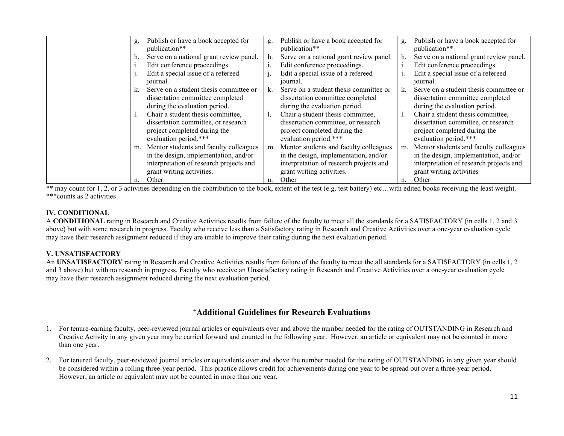| g. | Publish or have a book accepted for<br>publication** | g.             | Publish or have a book accepted for<br>publication** | g. | Publish or have a book accepted for<br>publication** |
|----|------------------------------------------------------|----------------|------------------------------------------------------|----|------------------------------------------------------|
| h. | Serve on a national grant review panel.              | h.             | Serve on a national grant review panel.              |    | Serve on a national grant review panel.              |
|    | Edit conference proceedings.                         | $\mathbf{1}$ . | Edit conference proceedings.                         |    | Edit conference proceedings.                         |
|    | Edit a special issue of a refereed                   |                | Edit a special issue of a refereed                   |    | Edit a special issue of a refereed                   |
|    | journal.                                             |                | journal.                                             |    | journal.                                             |
| k. | Serve on a student thesis committee or               | k.             | Serve on a student thesis committee or               | k. | Serve on a student thesis committee or               |
|    | dissertation committee completed                     |                | dissertation committee completed                     |    | dissertation committee completed                     |
|    | during the evaluation period.                        |                | during the evaluation period.                        |    | during the evaluation period.                        |
|    | Chair a student thesis committee,                    | 1.             | Chair a student thesis committee,                    |    | Chair a student thesis committee,                    |
|    | dissertation committee, or research                  |                | dissertation committee, or research                  |    | dissertation committee, or research                  |
|    | project completed during the                         |                | project completed during the                         |    | project completed during the                         |
|    | evaluation period.***                                |                | evaluation period.***                                |    | evaluation period.***                                |
| m. | Mentor students and faculty colleagues               |                | m. Mentor students and faculty colleagues            | m. | Mentor students and faculty colleagues               |
|    | in the design, implementation, and/or                |                | in the design, implementation, and/or                |    | in the design, implementation, and/or                |
|    | interpretation of research projects and              |                | interpretation of research projects and              |    | interpretation of research projects and              |
|    | grant writing activities.                            |                | grant writing activities.                            |    | grant writing activities                             |
| n. | Other                                                | n.             | Other                                                |    | Other                                                |

\*\* may count for 1, 2, or 3 activities depending on the contribution to the book, extent of the test (e.g. test battery) etc…with edited books receiving the least weight. \*\*\*counts as 2 activities

### **IV. CONDITIONAL**

A **CONDITIONAL** rating in Research and Creative Activities results from failure of the faculty to meet all the standards for a SATISFACTORY (in cells 1, 2 and 3 above) but with some research in progress. Faculty who receive less than a Satisfactory rating in Research and Creative Activities over a one-year evaluation cycle may have their research assignment reduced if they are unable to improve their rating during the next evaluation period.

## **V. UNSATISFACTORY**

An **UNSATISFACTORY** rating in Research and Creative Activities results from failure of the faculty to meet the all standards for a SATISFACTORY (in cells 1, 2 and 3 above) but with no research in progress. Faculty who receive an Unsatisfactory rating in Research and Creative Activities over a one-year evaluation cycle may have their research assignment reduced during the next evaluation period.

## **+Additional Guidelines for Research Evaluations**

- 1. For tenure-earning faculty, peer-reviewed journal articles or equivalents over and above the number needed for the rating of OUTSTANDING in Research and Creative Activity in any given year may be carried forward and counted in the following year. However, an article or equivalent may not be counted in more than one year.
- 2. For tenured faculty, peer-reviewed journal articles or equivalents over and above the number needed for the rating of OUTSTANDING in any given year should be considered within a rolling three-year period.This practice allows credit for achievements during one year to be spread out over a three-year period. However, an article or equivalent may not be counted in more than one year.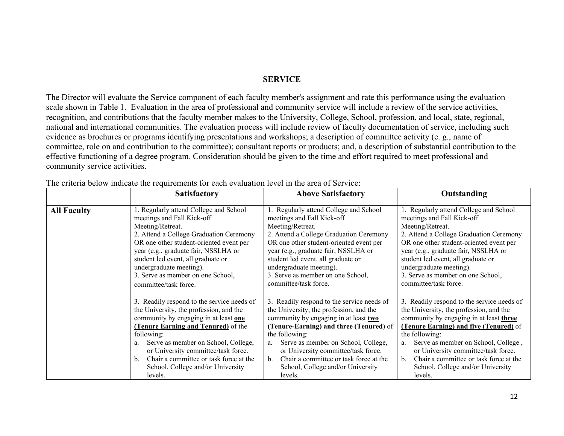### **SERVICE**

The Director will evaluate the Service component of each faculty member's assignment and rate this performance using the evaluation scale shown in Table 1. Evaluation in the area of professional and community service will include a review of the service activities, recognition, and contributions that the faculty member makes to the University, College, School, profession, and local, state, regional, national and international communities. The evaluation process will include review of faculty documentation of service, including such evidence as brochures or programs identifying presentations and workshops; a description of committee activity (e. g., name of committee, role on and contribution to the committee); consultant reports or products; and, a description of substantial contribution to the effective functioning of a degree program. Consideration should be given to the time and effort required to meet professional and community service activities.

|                    | <b>Satisfactory</b>                        | <b>Above Satisfactory</b>                  | Outstanding                                   |  |  |
|--------------------|--------------------------------------------|--------------------------------------------|-----------------------------------------------|--|--|
| <b>All Faculty</b> | 1. Regularly attend College and School     | 1. Regularly attend College and School     | 1. Regularly attend College and School        |  |  |
|                    | meetings and Fall Kick-off                 | meetings and Fall Kick-off                 | meetings and Fall Kick-off                    |  |  |
|                    | Meeting/Retreat.                           | Meeting/Retreat.                           | Meeting/Retreat.                              |  |  |
|                    | 2. Attend a College Graduation Ceremony    | 2. Attend a College Graduation Ceremony    | 2. Attend a College Graduation Ceremony       |  |  |
|                    | OR one other student-oriented event per    | OR one other student-oriented event per    | OR one other student-oriented event per       |  |  |
|                    | year (e.g., graduate fair, NSSLHA or       | year (e.g., graduate fair, NSSLHA or       | year (e.g., graduate fair, NSSLHA or          |  |  |
|                    | student led event, all graduate or         | student led event, all graduate or         | student led event, all graduate or            |  |  |
|                    | undergraduate meeting).                    | undergraduate meeting).                    | undergraduate meeting).                       |  |  |
|                    | 3. Serve as member on one School,          | 3. Serve as member on one School,          | 3. Serve as member on one School,             |  |  |
|                    | committee/task force.                      | committee/task force.                      | committee/task force.                         |  |  |
|                    | 3. Readily respond to the service needs of | 3. Readily respond to the service needs of | 3. Readily respond to the service needs of    |  |  |
|                    | the University, the profession, and the    | the University, the profession, and the    | the University, the profession, and the       |  |  |
|                    | community by engaging in at least one      | community by engaging in at least two      | community by engaging in at least three       |  |  |
|                    | <b>(Tenure Earning and Tenured)</b> of the | (Tenure-Earning) and three (Tenured) of    | <b>(Tenure Earning) and five (Tenured)</b> of |  |  |
|                    | following:                                 | the following:                             | the following:                                |  |  |
|                    | Serve as member on School, College,        | Serve as member on School, College,        | Serve as member on School, College,           |  |  |
|                    | a.                                         | a.                                         | a.                                            |  |  |
|                    | or University committee/task force.        | or University committee/task force.        | or University committee/task force.           |  |  |
|                    | Chair a committee or task force at the     | Chair a committee or task force at the     | Chair a committee or task force at the        |  |  |
|                    | b.                                         | $\mathbf{b}$ .                             | $\mathbf{b}$ .                                |  |  |
|                    | School, College and/or University          | School, College and/or University          | School, College and/or University             |  |  |
|                    | levels.                                    | levels.                                    | levels.                                       |  |  |

The criteria below indicate the requirements for each evaluation level in the area of Service: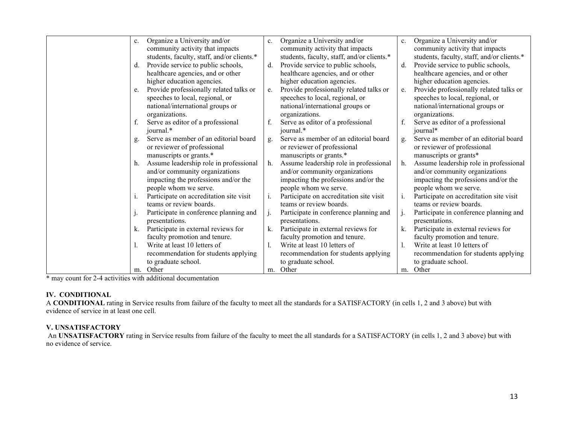| c. | Organize a University and/or               | $\mathbf{c}$ . | Organize a University and/or               | c. | Organize a University and/or               |
|----|--------------------------------------------|----------------|--------------------------------------------|----|--------------------------------------------|
|    | community activity that impacts            |                | community activity that impacts            |    | community activity that impacts            |
|    | students, faculty, staff, and/or clients.* |                | students, faculty, staff, and/or clients.* |    | students, faculty, staff, and/or clients.* |
| d. | Provide service to public schools,         | d.             | Provide service to public schools,         | d. | Provide service to public schools,         |
|    | healthcare agencies, and or other          |                | healthcare agencies, and or other          |    | healthcare agencies, and or other          |
|    | higher education agencies.                 |                | higher education agencies.                 |    | higher education agencies.                 |
| e. | Provide professionally related talks or    | e.             | Provide professionally related talks or    | e. | Provide professionally related talks or    |
|    | speeches to local, regional, or            |                | speeches to local, regional, or            |    | speeches to local, regional, or            |
|    | national/international groups or           |                | national/international groups or           |    | national/international groups or           |
|    | organizations.                             |                | organizations.                             |    | organizations.                             |
| f. | Serve as editor of a professional          | f.             | Serve as editor of a professional          | f. | Serve as editor of a professional          |
|    | journal.*                                  |                | journal.*                                  |    | journal*                                   |
| g. | Serve as member of an editorial board      | g.             | Serve as member of an editorial board      | g. | Serve as member of an editorial board      |
|    | or reviewer of professional                |                | or reviewer of professional                |    | or reviewer of professional                |
|    | manuscripts or grants.*                    |                | manuscripts or grants.*                    |    | manuscripts or grants*                     |
| h. | Assume leadership role in professional     | h.             | Assume leadership role in professional     | h. | Assume leadership role in professional     |
|    | and/or community organizations             |                | and/or community organizations             |    | and/or community organizations             |
|    | impacting the professions and/or the       |                | impacting the professions and/or the       |    | impacting the professions and/or the       |
|    | people whom we serve.                      |                | people whom we serve.                      |    | people whom we serve.                      |
| 1. | Participate on accreditation site visit    | i.             | Participate on accreditation site visit    | i. | Participate on accreditation site visit    |
|    | teams or review boards.                    |                | teams or review boards.                    |    | teams or review boards.                    |
|    | Participate in conference planning and     | j.             | Participate in conference planning and     |    | Participate in conference planning and     |
|    | presentations.                             |                | presentations.                             |    | presentations.                             |
| k. | Participate in external reviews for        | k.             | Participate in external reviews for        | k. | Participate in external reviews for        |
|    | faculty promotion and tenure.              |                | faculty promotion and tenure.              |    | faculty promotion and tenure.              |
|    | Write at least 10 letters of               |                | Write at least 10 letters of               |    | Write at least 10 letters of               |
|    | recommendation for students applying       |                | recommendation for students applying       |    | recommendation for students applying       |
|    | to graduate school.                        |                | to graduate school.                        |    | to graduate school.                        |
|    | m. Other                                   |                | m. Other                                   | m. | Other                                      |
|    |                                            |                |                                            |    |                                            |

\* may count for 2-4 activities with additional documentation

#### **IV. CONDITIONAL**

A **CONDITIONAL** rating in Service results from failure of the faculty to meet all the standards for a SATISFACTORY (in cells 1, 2 and 3 above) but with evidence of service in at least one cell.

#### **V. UNSATISFACTORY**

An **UNSATISFACTORY** rating in Service results from failure of the faculty to meet the all standards for a SATISFACTORY (in cells 1, 2 and 3 above) but with no evidence of service.